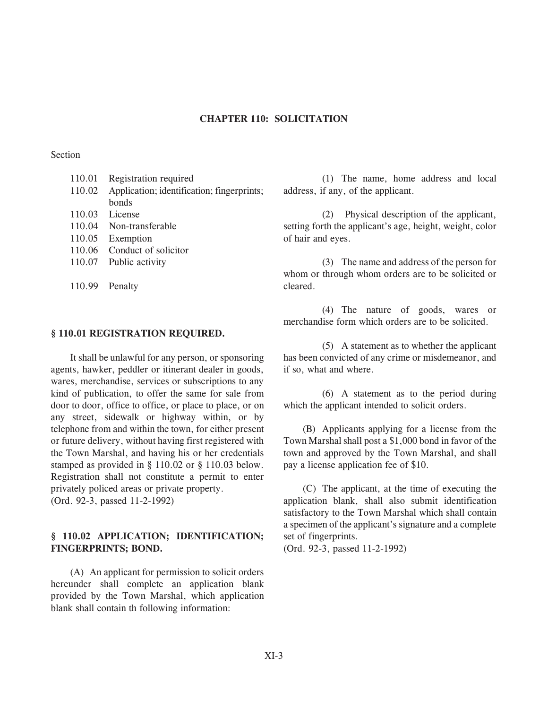#### **CHAPTER 110: SOLICITATION CHAPTER 110: SOLICITATION**

### Section

| 110.01 | Registration required                      |
|--------|--------------------------------------------|
| 110.02 | Application; identification; fingerprints; |
|        | bonds                                      |
|        | 110.03 License                             |
|        | 110.04 Non-transferable                    |
|        | 110.05 Exemption                           |
| 110.06 | Conduct of solicitor                       |
|        | 110.07 Public activity                     |
|        |                                            |
|        |                                            |

#### **§ 110.01 REGISTRATION REQUIRED.**

110.99 Penalty

It shall be unlawful for any person, or sponsoring agents, hawker, peddler or itinerant dealer in goods, wares, merchandise, services or subscriptions to any kind of publication, to offer the same for sale from door to door, office to office, or place to place, or on any street, sidewalk or highway within, or by telephone from and within the town, for either present or future delivery, without having first registered with the Town Marshal, and having his or her credentials stamped as provided in § 110.02 or § 110.03 below. Registration shall not constitute a permit to enter privately policed areas or private property. (Ord. 92-3, passed 11-2-1992)

# **§ 110.02 APPLICATION; IDENTIFICATION; FINGERPRINTS**

(A) An applicant for permission to solicit orders hereunder shall complete an application blank provided by the Town Marshal, which application blank shall contain th following information:

(1) The name, home address and local address, if any, of the applicant.

(2) Physical description of the applicant, setting forth the applicant's age, height, weight, color of hair and eyes.

(3) The name and address of the person for whom or through whom orders are to be solicited or cleared.

(4) The nature of goods, wares or merchandise form which orders are to be solicited.

(5) A statement as to whether the applicant has been convicted of any crime or misdemeanor, and if so, what and where.

(6) A statement as to the period during which the applicant intended to solicit orders.

(B) Applicants applying for a license from the Town Marshal shall post a \$1,000 bond in favor of the town and approved by the Town Marshal, and shall pay a license application fee of \$10.

(C) The applicant, at the time of executing the application blank, shall also submit identification satisfactory to the Town Marshal which shall contain a specimen of the applicant's signature and a complete set of fingerprints.

(Ord. 92-3, passed 11-2-1992)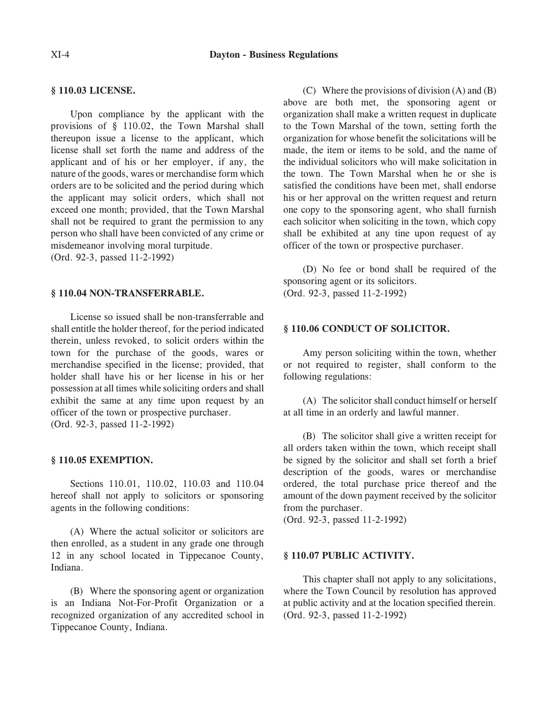# **§ 110.03 LICENSE.**

Upon compliance by the applicant with the provisions of § 110.02, the Town Marshal shall thereupon issue a license to the applicant, which license shall set forth the name and address of the applicant and of his or her employer, if any, the nature of the goods, wares or merchandise form which orders are to be solicited and the period during which the applicant may solicit orders, which shall not exceed one month; provided, that the Town Marshal shall not be required to grant the permission to any person who shall have been convicted of any crime or misdemeanor involving moral turpitude.

(Ord. 92-3, passed 11-2-1992)

#### § 110.04 NON-TRANSFERRABLE. **§ 110.04 NON-TRANSFERRABLE.**

License so issued shall be non-transferrable and shall entitle the holder thereof, for the period indicated therein, unless revoked, to solicit orders within the town for the purchase of the goods, wares or merchandise specified in the license; provided, that holder shall have his or her license in his or her possession at all times while soliciting orders and shall exhibit the same at any time upon request by an officer of the town or prospective purchaser. (Ord. 92-3, passed 11-2-1992)

#### § 110.05 EXEMPTION. **§ 110.05 EXEMPTION.**

Sections 110.01, 110.02, 110.03 and 110.04 hereof shall not apply to solicitors or sponsoring agents in the following conditions:

(A) Where the actual solicitor or solicitors are then enrolled, as a student in any grade one through 12 in any school located in Tippecanoe County, Indiana.

(B) Where the sponsoring agent or organization is an Indiana Not-For-Profit Organization or a recognized organization of any accredited school in Tippecanoe County, Indiana.

(C) Where the provisions of division (A) and (B) above are both met, the sponsoring agent or organization shall make a written request in duplicate to the Town Marshal of the town, setting forth the organization for whose benefit the solicitations will be made, the item or items to be sold, and the name of the individual solicitors who will make solicitation in the town. The Town Marshal when he or she is satisfied the conditions have been met, shall endorse his or her approval on the written request and return one copy to the sponsoring agent, who shall furnish each solicitor when soliciting in the town, which copy shall be exhibited at any tine upon request of ay officer of the town or prospective purchaser.

(D) No fee or bond shall be required of the sponsoring agent or its solicitors. (Ord. 92-3, passed 11-2-1992)

# **§ 110.06 CONDUCT OF SOLICITOR.**

Amy person soliciting within the town, whether or not required to register, shall conform to the following regulations:

(A) The solicitor shall conduct himself or herself at all time in an orderly and lawful manner.

(B) The solicitor shall give a written receipt for all orders taken within the town, which receipt shall be signed by the solicitor and shall set forth a brief description of the goods, wares or merchandise ordered, the total purchase price thereof and the amount of the down payment received by the solicitor from the purchaser.

(Ord. 92-3, passed 11-2-1992)

#### § 110.07 PUBLIC ACTIVITY. **§ 110.07 PUBLIC ACTIVITY.**

This chapter shall not apply to any solicitations, where the Town Council by resolution has approved at public activity and at the location specified therein. (Ord. 92-3, passed 11-2-1992)